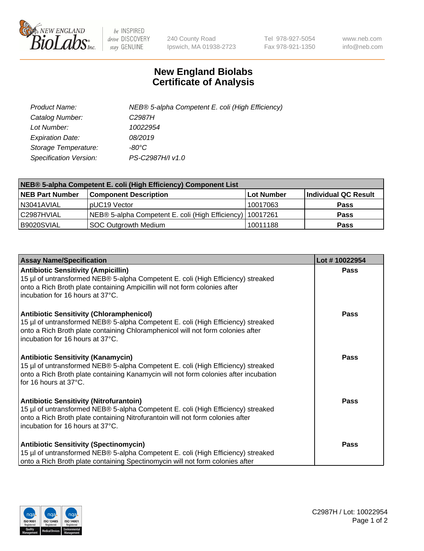

 $be$  INSPIRED drive DISCOVERY stay GENUINE

240 County Road Ipswich, MA 01938-2723 Tel 978-927-5054 Fax 978-921-1350 www.neb.com info@neb.com

## **New England Biolabs Certificate of Analysis**

| Product Name:           | NEB® 5-alpha Competent E. coli (High Efficiency) |
|-------------------------|--------------------------------------------------|
| Catalog Number:         | C <sub>2987</sub> H                              |
| Lot Number:             | 10022954                                         |
| <b>Expiration Date:</b> | 08/2019                                          |
| Storage Temperature:    | -80°C                                            |
| Specification Version:  | PS-C2987H/I v1.0                                 |

| NEB® 5-alpha Competent E. coli (High Efficiency) Component List |                                                             |            |                      |  |
|-----------------------------------------------------------------|-------------------------------------------------------------|------------|----------------------|--|
| <b>NEB Part Number</b>                                          | <b>Component Description</b>                                | Lot Number | Individual QC Result |  |
| N3041AVIAL                                                      | pUC19 Vector                                                | 10017063   | Pass                 |  |
| C2987HVIAL                                                      | NEB® 5-alpha Competent E. coli (High Efficiency)   10017261 |            | <b>Pass</b>          |  |
| B9020SVIAL                                                      | <b>SOC Outgrowth Medium</b>                                 | 10011188   | <b>Pass</b>          |  |

| <b>Assay Name/Specification</b>                                                                                                                                                                                                                            | Lot #10022954 |
|------------------------------------------------------------------------------------------------------------------------------------------------------------------------------------------------------------------------------------------------------------|---------------|
| <b>Antibiotic Sensitivity (Ampicillin)</b><br>15 µl of untransformed NEB® 5-alpha Competent E. coli (High Efficiency) streaked<br>onto a Rich Broth plate containing Ampicillin will not form colonies after<br>incubation for 16 hours at 37°C.           | Pass          |
| <b>Antibiotic Sensitivity (Chloramphenicol)</b><br>15 µl of untransformed NEB® 5-alpha Competent E. coli (High Efficiency) streaked<br>onto a Rich Broth plate containing Chloramphenicol will not form colonies after<br>incubation for 16 hours at 37°C. | Pass          |
| Antibiotic Sensitivity (Kanamycin)<br>15 µl of untransformed NEB® 5-alpha Competent E. coli (High Efficiency) streaked<br>onto a Rich Broth plate containing Kanamycin will not form colonies after incubation<br>for 16 hours at 37°C.                    | Pass          |
| <b>Antibiotic Sensitivity (Nitrofurantoin)</b><br>15 µl of untransformed NEB® 5-alpha Competent E. coli (High Efficiency) streaked<br>onto a Rich Broth plate containing Nitrofurantoin will not form colonies after<br>incubation for 16 hours at 37°C.   | <b>Pass</b>   |
| <b>Antibiotic Sensitivity (Spectinomycin)</b><br>15 µl of untransformed NEB® 5-alpha Competent E. coli (High Efficiency) streaked<br>onto a Rich Broth plate containing Spectinomycin will not form colonies after                                         | Pass          |